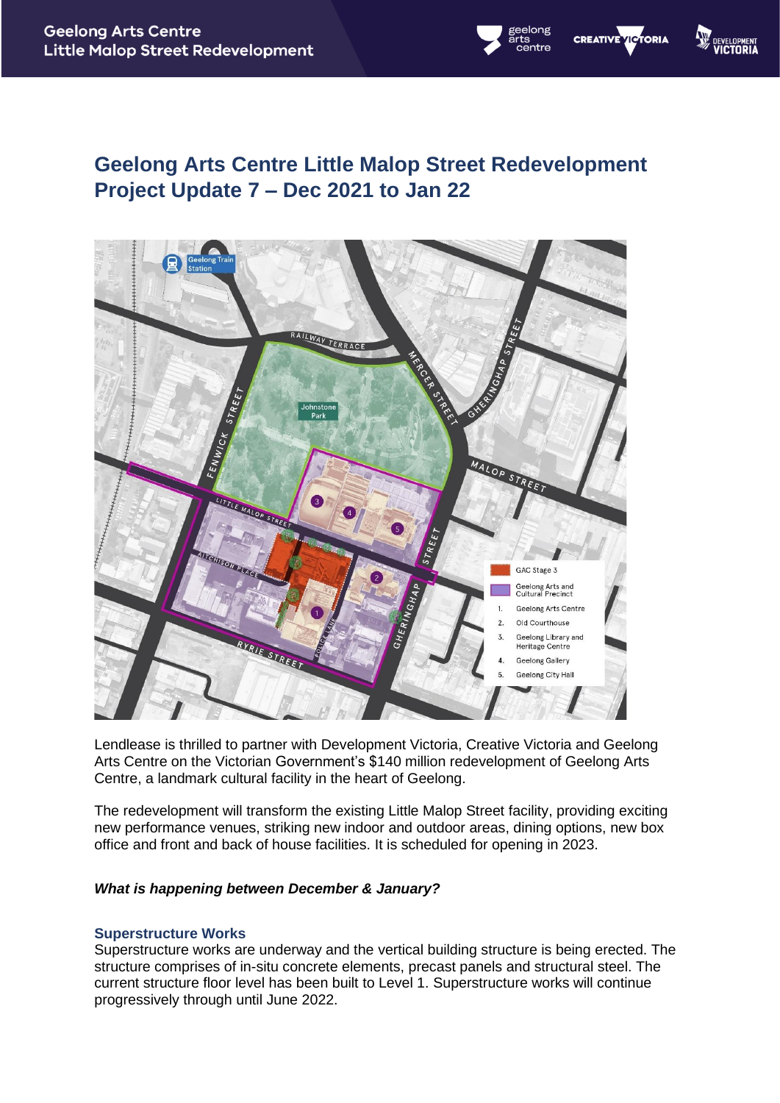## **Geelong Arts Centre Little Malop Street Redevelopment Project Update 7 – Dec 2021 to Jan 22**

**CREATIVE VICTORIA** 



Lendlease is thrilled to partner with Development Victoria, Creative Victoria and Geelong Arts Centre on the Victorian Government's \$140 million redevelopment of Geelong Arts Centre, a landmark cultural facility in the heart of Geelong.

The redevelopment will transform the existing Little Malop Street facility, providing exciting new performance venues, striking new indoor and outdoor areas, dining options, new box office and front and back of house facilities. It is scheduled for opening in 2023.

#### *What is happening between December & January?*

#### **Superstructure Works**

Superstructure works are underway and the vertical building structure is being erected. The structure comprises of in-situ concrete elements, precast panels and structural steel. The current structure floor level has been built to Level 1. Superstructure works will continue progressively through until June 2022.